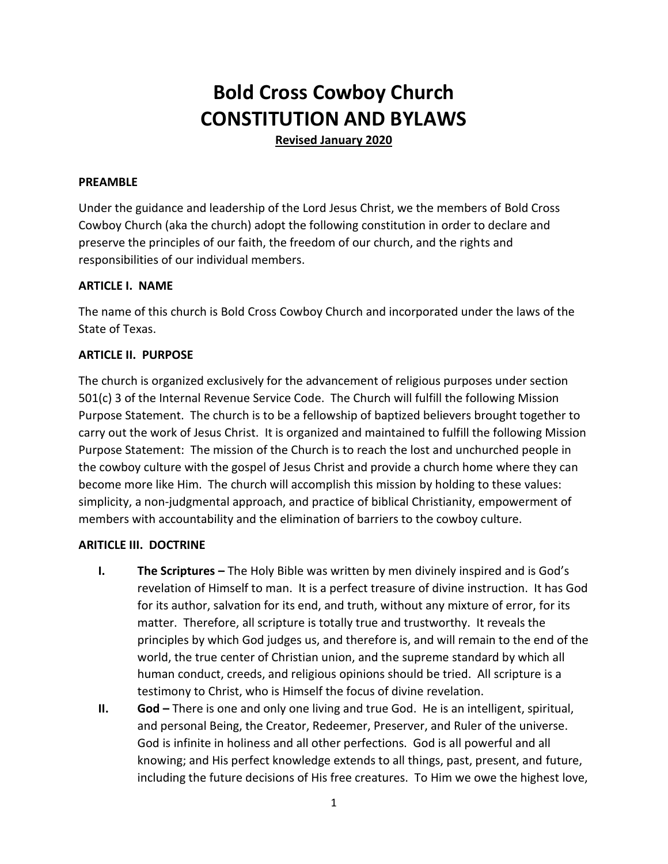# **Bold Cross Cowboy Church CONSTITUTION AND BYLAWS**

**Revised January 2020**

#### **PREAMBLE**

Under the guidance and leadership of the Lord Jesus Christ, we the members of Bold Cross Cowboy Church (aka the church) adopt the following constitution in order to declare and preserve the principles of our faith, the freedom of our church, and the rights and responsibilities of our individual members.

## **ARTICLE I. NAME**

The name of this church is Bold Cross Cowboy Church and incorporated under the laws of the State of Texas.

#### **ARTICLE II. PURPOSE**

The church is organized exclusively for the advancement of religious purposes under section 501(c) 3 of the Internal Revenue Service Code. The Church will fulfill the following Mission Purpose Statement. The church is to be a fellowship of baptized believers brought together to carry out the work of Jesus Christ. It is organized and maintained to fulfill the following Mission Purpose Statement: The mission of the Church is to reach the lost and unchurched people in the cowboy culture with the gospel of Jesus Christ and provide a church home where they can become more like Him. The church will accomplish this mission by holding to these values: simplicity, a non-judgmental approach, and practice of biblical Christianity, empowerment of members with accountability and the elimination of barriers to the cowboy culture.

## **ARITICLE III. DOCTRINE**

- **I.** The Scriptures The Holy Bible was written by men divinely inspired and is God's revelation of Himself to man. It is a perfect treasure of divine instruction. It has God for its author, salvation for its end, and truth, without any mixture of error, for its matter. Therefore, all scripture is totally true and trustworthy. It reveals the principles by which God judges us, and therefore is, and will remain to the end of the world, the true center of Christian union, and the supreme standard by which all human conduct, creeds, and religious opinions should be tried. All scripture is a testimony to Christ, who is Himself the focus of divine revelation.
- **II. God** There is one and only one living and true God. He is an intelligent, spiritual, and personal Being, the Creator, Redeemer, Preserver, and Ruler of the universe. God is infinite in holiness and all other perfections. God is all powerful and all knowing; and His perfect knowledge extends to all things, past, present, and future, including the future decisions of His free creatures. To Him we owe the highest love,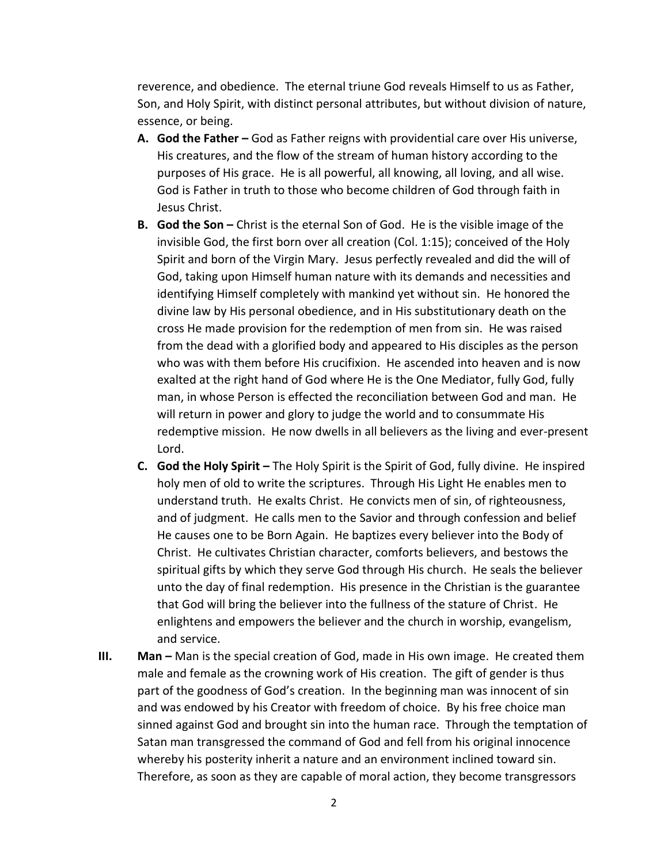reverence, and obedience. The eternal triune God reveals Himself to us as Father, Son, and Holy Spirit, with distinct personal attributes, but without division of nature, essence, or being.

- **A. God the Father –** God as Father reigns with providential care over His universe, His creatures, and the flow of the stream of human history according to the purposes of His grace. He is all powerful, all knowing, all loving, and all wise. God is Father in truth to those who become children of God through faith in Jesus Christ.
- **B.** God the Son Christ is the eternal Son of God. He is the visible image of the invisible God, the first born over all creation (Col. 1:15); conceived of the Holy Spirit and born of the Virgin Mary. Jesus perfectly revealed and did the will of God, taking upon Himself human nature with its demands and necessities and identifying Himself completely with mankind yet without sin. He honored the divine law by His personal obedience, and in His substitutionary death on the cross He made provision for the redemption of men from sin. He was raised from the dead with a glorified body and appeared to His disciples as the person who was with them before His crucifixion. He ascended into heaven and is now exalted at the right hand of God where He is the One Mediator, fully God, fully man, in whose Person is effected the reconciliation between God and man. He will return in power and glory to judge the world and to consummate His redemptive mission. He now dwells in all believers as the living and ever-present Lord.
- **C.** God the Holy Spirit The Holy Spirit is the Spirit of God, fully divine. He inspired holy men of old to write the scriptures. Through His Light He enables men to understand truth. He exalts Christ. He convicts men of sin, of righteousness, and of judgment. He calls men to the Savior and through confession and belief He causes one to be Born Again. He baptizes every believer into the Body of Christ. He cultivates Christian character, comforts believers, and bestows the spiritual gifts by which they serve God through His church. He seals the believer unto the day of final redemption. His presence in the Christian is the guarantee that God will bring the believer into the fullness of the stature of Christ. He enlightens and empowers the believer and the church in worship, evangelism, and service.
- **III.** Man Man is the special creation of God, made in His own image. He created them male and female as the crowning work of His creation. The gift of gender is thus part of the goodness of God's creation. In the beginning man was innocent of sin and was endowed by his Creator with freedom of choice. By his free choice man sinned against God and brought sin into the human race. Through the temptation of Satan man transgressed the command of God and fell from his original innocence whereby his posterity inherit a nature and an environment inclined toward sin. Therefore, as soon as they are capable of moral action, they become transgressors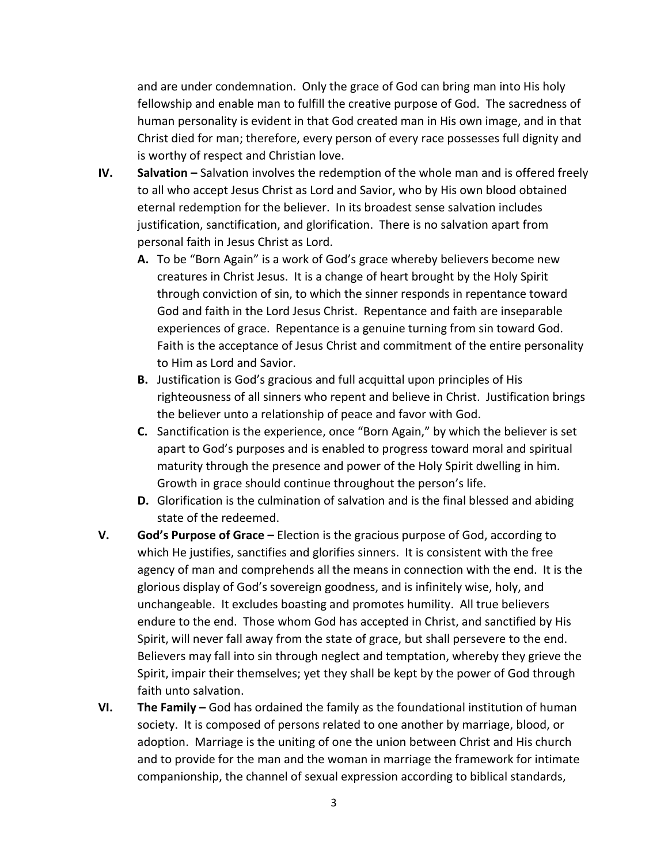and are under condemnation. Only the grace of God can bring man into His holy fellowship and enable man to fulfill the creative purpose of God. The sacredness of human personality is evident in that God created man in His own image, and in that Christ died for man; therefore, every person of every race possesses full dignity and is worthy of respect and Christian love.

- **IV.** Salvation Salvation involves the redemption of the whole man and is offered freely to all who accept Jesus Christ as Lord and Savior, who by His own blood obtained eternal redemption for the believer. In its broadest sense salvation includes justification, sanctification, and glorification. There is no salvation apart from personal faith in Jesus Christ as Lord.
	- **A.** To be "Born Again" is a work of God's grace whereby believers become new creatures in Christ Jesus. It is a change of heart brought by the Holy Spirit through conviction of sin, to which the sinner responds in repentance toward God and faith in the Lord Jesus Christ. Repentance and faith are inseparable experiences of grace. Repentance is a genuine turning from sin toward God. Faith is the acceptance of Jesus Christ and commitment of the entire personality to Him as Lord and Savior.
	- **B.** Justification is God's gracious and full acquittal upon principles of His righteousness of all sinners who repent and believe in Christ. Justification brings the believer unto a relationship of peace and favor with God.
	- **C.** Sanctification is the experience, once "Born Again," by which the believer is set apart to God's purposes and is enabled to progress toward moral and spiritual maturity through the presence and power of the Holy Spirit dwelling in him. Growth in grace should continue throughout the person's life.
	- **D.** Glorification is the culmination of salvation and is the final blessed and abiding state of the redeemed.
- **V. God's Purpose of Grace –** Election is the gracious purpose of God, according to which He justifies, sanctifies and glorifies sinners. It is consistent with the free agency of man and comprehends all the means in connection with the end. It is the glorious display of God's sovereign goodness, and is infinitely wise, holy, and unchangeable. It excludes boasting and promotes humility. All true believers endure to the end. Those whom God has accepted in Christ, and sanctified by His Spirit, will never fall away from the state of grace, but shall persevere to the end. Believers may fall into sin through neglect and temptation, whereby they grieve the Spirit, impair their themselves; yet they shall be kept by the power of God through faith unto salvation.
- **VI. The Family –** God has ordained the family as the foundational institution of human society. It is composed of persons related to one another by marriage, blood, or adoption. Marriage is the uniting of one the union between Christ and His church and to provide for the man and the woman in marriage the framework for intimate companionship, the channel of sexual expression according to biblical standards,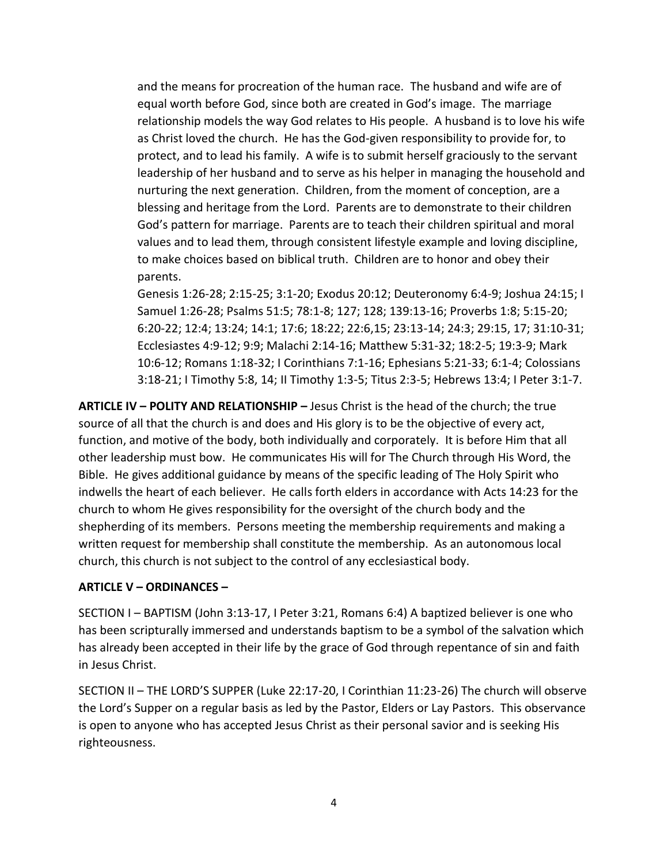and the means for procreation of the human race. The husband and wife are of equal worth before God, since both are created in God's image. The marriage relationship models the way God relates to His people. A husband is to love his wife as Christ loved the church. He has the God-given responsibility to provide for, to protect, and to lead his family. A wife is to submit herself graciously to the servant leadership of her husband and to serve as his helper in managing the household and nurturing the next generation. Children, from the moment of conception, are a blessing and heritage from the Lord. Parents are to demonstrate to their children God's pattern for marriage. Parents are to teach their children spiritual and moral values and to lead them, through consistent lifestyle example and loving discipline, to make choices based on biblical truth. Children are to honor and obey their parents.

Genesis 1:26-28; 2:15-25; 3:1-20; Exodus 20:12; Deuteronomy 6:4-9; Joshua 24:15; I Samuel 1:26-28; Psalms 51:5; 78:1-8; 127; 128; 139:13-16; Proverbs 1:8; 5:15-20; 6:20-22; 12:4; 13:24; 14:1; 17:6; 18:22; 22:6,15; 23:13-14; 24:3; 29:15, 17; 31:10-31; Ecclesiastes 4:9-12; 9:9; Malachi 2:14-16; Matthew 5:31-32; 18:2-5; 19:3-9; Mark 10:6-12; Romans 1:18-32; I Corinthians 7:1-16; Ephesians 5:21-33; 6:1-4; Colossians 3:18-21; I Timothy 5:8, 14; II Timothy 1:3-5; Titus 2:3-5; Hebrews 13:4; I Peter 3:1-7.

**ARTICLE IV – POLITY AND RELATIONSHIP –** Jesus Christ is the head of the church; the true source of all that the church is and does and His glory is to be the objective of every act, function, and motive of the body, both individually and corporately. It is before Him that all other leadership must bow. He communicates His will for The Church through His Word, the Bible. He gives additional guidance by means of the specific leading of The Holy Spirit who indwells the heart of each believer. He calls forth elders in accordance with Acts 14:23 for the church to whom He gives responsibility for the oversight of the church body and the shepherding of its members. Persons meeting the membership requirements and making a written request for membership shall constitute the membership. As an autonomous local church, this church is not subject to the control of any ecclesiastical body.

#### **ARTICLE V – ORDINANCES –**

SECTION I – BAPTISM (John 3:13-17, I Peter 3:21, Romans 6:4) A baptized believer is one who has been scripturally immersed and understands baptism to be a symbol of the salvation which has already been accepted in their life by the grace of God through repentance of sin and faith in Jesus Christ.

SECTION II – THE LORD'S SUPPER (Luke 22:17-20, I Corinthian 11:23-26) The church will observe the Lord's Supper on a regular basis as led by the Pastor, Elders or Lay Pastors. This observance is open to anyone who has accepted Jesus Christ as their personal savior and is seeking His righteousness.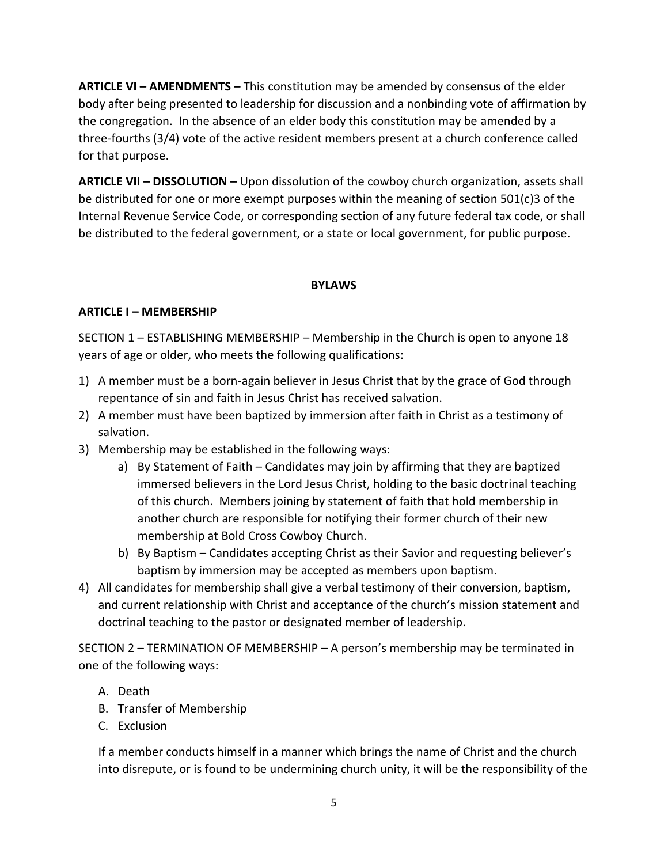**ARTICLE VI – AMENDMENTS –** This constitution may be amended by consensus of the elder body after being presented to leadership for discussion and a nonbinding vote of affirmation by the congregation. In the absence of an elder body this constitution may be amended by a three-fourths (3/4) vote of the active resident members present at a church conference called for that purpose.

**ARTICLE VII – DISSOLUTION –** Upon dissolution of the cowboy church organization, assets shall be distributed for one or more exempt purposes within the meaning of section 501(c)3 of the Internal Revenue Service Code, or corresponding section of any future federal tax code, or shall be distributed to the federal government, or a state or local government, for public purpose.

## **BYLAWS**

## **ARTICLE I – MEMBERSHIP**

SECTION 1 – ESTABLISHING MEMBERSHIP – Membership in the Church is open to anyone 18 years of age or older, who meets the following qualifications:

- 1) A member must be a born-again believer in Jesus Christ that by the grace of God through repentance of sin and faith in Jesus Christ has received salvation.
- 2) A member must have been baptized by immersion after faith in Christ as a testimony of salvation.
- 3) Membership may be established in the following ways:
	- a) By Statement of Faith Candidates may join by affirming that they are baptized immersed believers in the Lord Jesus Christ, holding to the basic doctrinal teaching of this church. Members joining by statement of faith that hold membership in another church are responsible for notifying their former church of their new membership at Bold Cross Cowboy Church.
	- b) By Baptism Candidates accepting Christ as their Savior and requesting believer's baptism by immersion may be accepted as members upon baptism.
- 4) All candidates for membership shall give a verbal testimony of their conversion, baptism, and current relationship with Christ and acceptance of the church's mission statement and doctrinal teaching to the pastor or designated member of leadership.

SECTION 2 – TERMINATION OF MEMBERSHIP – A person's membership may be terminated in one of the following ways:

- A. Death
- B. Transfer of Membership
- C. Exclusion

If a member conducts himself in a manner which brings the name of Christ and the church into disrepute, or is found to be undermining church unity, it will be the responsibility of the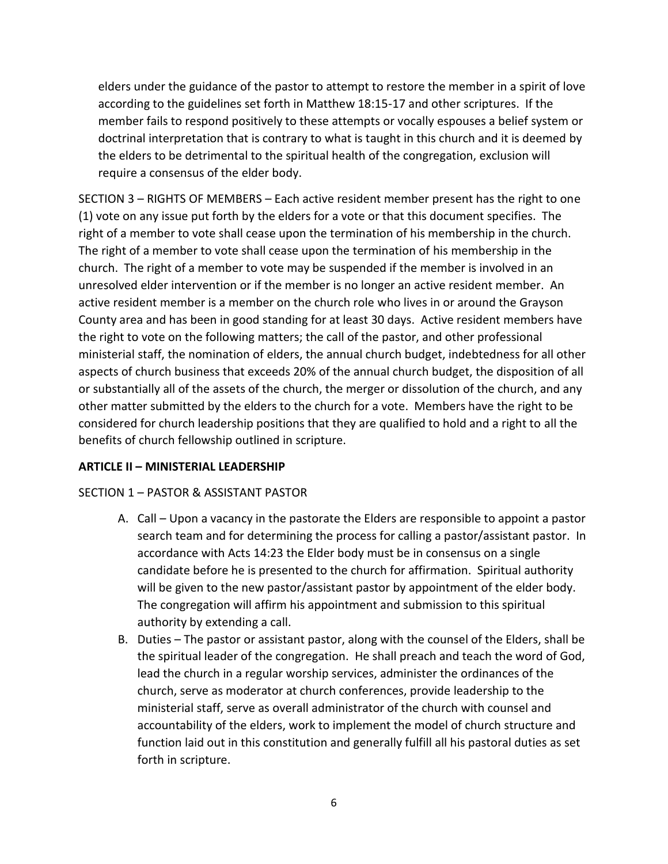elders under the guidance of the pastor to attempt to restore the member in a spirit of love according to the guidelines set forth in Matthew 18:15-17 and other scriptures. If the member fails to respond positively to these attempts or vocally espouses a belief system or doctrinal interpretation that is contrary to what is taught in this church and it is deemed by the elders to be detrimental to the spiritual health of the congregation, exclusion will require a consensus of the elder body.

SECTION 3 – RIGHTS OF MEMBERS – Each active resident member present has the right to one (1) vote on any issue put forth by the elders for a vote or that this document specifies. The right of a member to vote shall cease upon the termination of his membership in the church. The right of a member to vote shall cease upon the termination of his membership in the church. The right of a member to vote may be suspended if the member is involved in an unresolved elder intervention or if the member is no longer an active resident member. An active resident member is a member on the church role who lives in or around the Grayson County area and has been in good standing for at least 30 days. Active resident members have the right to vote on the following matters; the call of the pastor, and other professional ministerial staff, the nomination of elders, the annual church budget, indebtedness for all other aspects of church business that exceeds 20% of the annual church budget, the disposition of all or substantially all of the assets of the church, the merger or dissolution of the church, and any other matter submitted by the elders to the church for a vote. Members have the right to be considered for church leadership positions that they are qualified to hold and a right to all the benefits of church fellowship outlined in scripture.

## **ARTICLE II – MINISTERIAL LEADERSHIP**

# SECTION 1 – PASTOR & ASSISTANT PASTOR

- A. Call Upon a vacancy in the pastorate the Elders are responsible to appoint a pastor search team and for determining the process for calling a pastor/assistant pastor. In accordance with Acts 14:23 the Elder body must be in consensus on a single candidate before he is presented to the church for affirmation. Spiritual authority will be given to the new pastor/assistant pastor by appointment of the elder body. The congregation will affirm his appointment and submission to this spiritual authority by extending a call.
- B. Duties The pastor or assistant pastor, along with the counsel of the Elders, shall be the spiritual leader of the congregation. He shall preach and teach the word of God, lead the church in a regular worship services, administer the ordinances of the church, serve as moderator at church conferences, provide leadership to the ministerial staff, serve as overall administrator of the church with counsel and accountability of the elders, work to implement the model of church structure and function laid out in this constitution and generally fulfill all his pastoral duties as set forth in scripture.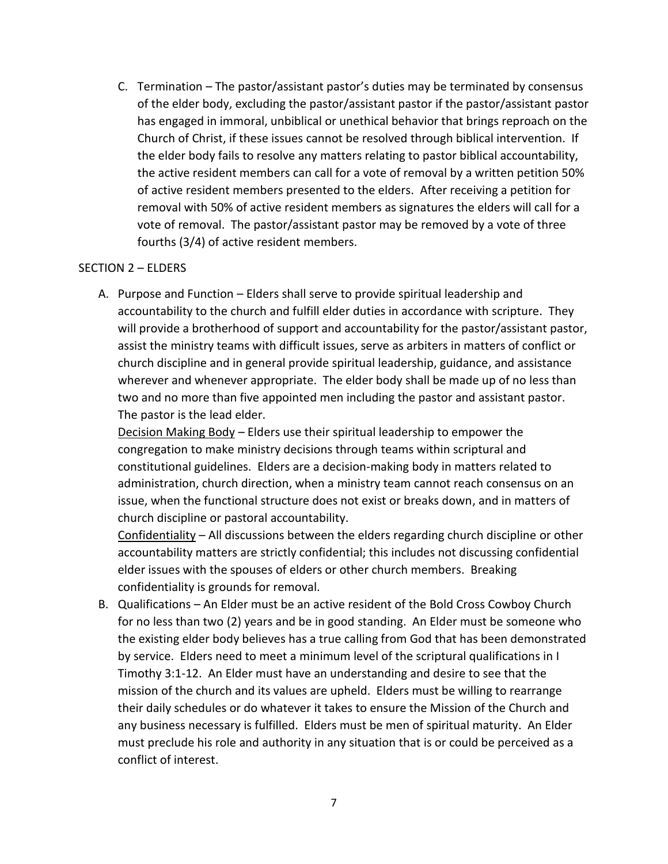C. Termination – The pastor/assistant pastor's duties may be terminated by consensus of the elder body, excluding the pastor/assistant pastor if the pastor/assistant pastor has engaged in immoral, unbiblical or unethical behavior that brings reproach on the Church of Christ, if these issues cannot be resolved through biblical intervention. If the elder body fails to resolve any matters relating to pastor biblical accountability, the active resident members can call for a vote of removal by a written petition 50% of active resident members presented to the elders. After receiving a petition for removal with 50% of active resident members as signatures the elders will call for a vote of removal. The pastor/assistant pastor may be removed by a vote of three fourths (3/4) of active resident members.

#### SECTION 2 – ELDERS

A. Purpose and Function – Elders shall serve to provide spiritual leadership and accountability to the church and fulfill elder duties in accordance with scripture. They will provide a brotherhood of support and accountability for the pastor/assistant pastor, assist the ministry teams with difficult issues, serve as arbiters in matters of conflict or church discipline and in general provide spiritual leadership, guidance, and assistance wherever and whenever appropriate. The elder body shall be made up of no less than two and no more than five appointed men including the pastor and assistant pastor. The pastor is the lead elder.

Decision Making Body – Elders use their spiritual leadership to empower the congregation to make ministry decisions through teams within scriptural and constitutional guidelines. Elders are a decision-making body in matters related to administration, church direction, when a ministry team cannot reach consensus on an issue, when the functional structure does not exist or breaks down, and in matters of church discipline or pastoral accountability.

Confidentiality – All discussions between the elders regarding church discipline or other accountability matters are strictly confidential; this includes not discussing confidential elder issues with the spouses of elders or other church members. Breaking confidentiality is grounds for removal.

B. Qualifications – An Elder must be an active resident of the Bold Cross Cowboy Church for no less than two (2) years and be in good standing. An Elder must be someone who the existing elder body believes has a true calling from God that has been demonstrated by service. Elders need to meet a minimum level of the scriptural qualifications in I Timothy 3:1-12. An Elder must have an understanding and desire to see that the mission of the church and its values are upheld. Elders must be willing to rearrange their daily schedules or do whatever it takes to ensure the Mission of the Church and any business necessary is fulfilled. Elders must be men of spiritual maturity. An Elder must preclude his role and authority in any situation that is or could be perceived as a conflict of interest.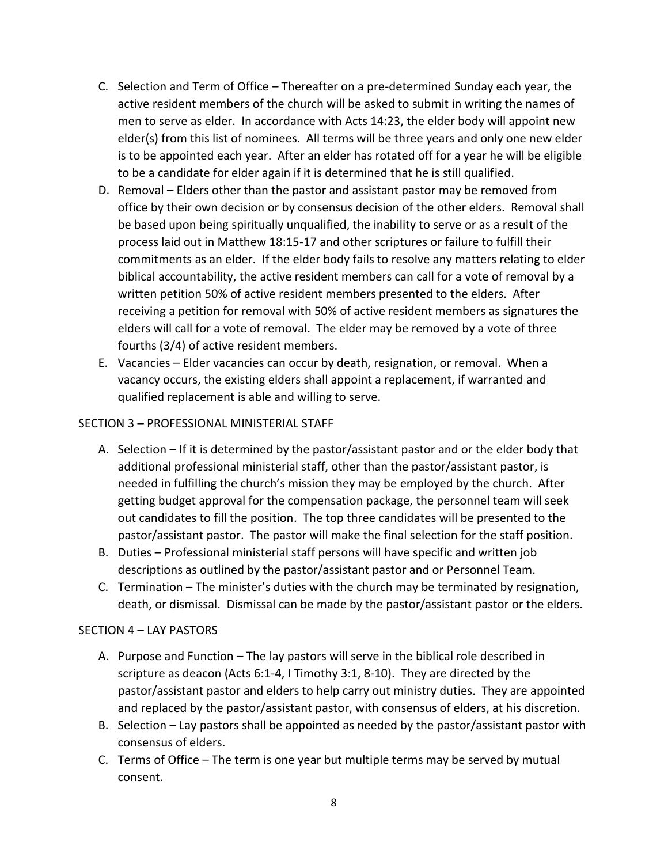- C. Selection and Term of Office Thereafter on a pre-determined Sunday each year, the active resident members of the church will be asked to submit in writing the names of men to serve as elder. In accordance with Acts 14:23, the elder body will appoint new elder(s) from this list of nominees. All terms will be three years and only one new elder is to be appointed each year. After an elder has rotated off for a year he will be eligible to be a candidate for elder again if it is determined that he is still qualified.
- D. Removal Elders other than the pastor and assistant pastor may be removed from office by their own decision or by consensus decision of the other elders. Removal shall be based upon being spiritually unqualified, the inability to serve or as a result of the process laid out in Matthew 18:15-17 and other scriptures or failure to fulfill their commitments as an elder. If the elder body fails to resolve any matters relating to elder biblical accountability, the active resident members can call for a vote of removal by a written petition 50% of active resident members presented to the elders. After receiving a petition for removal with 50% of active resident members as signatures the elders will call for a vote of removal. The elder may be removed by a vote of three fourths (3/4) of active resident members.
- E. Vacancies Elder vacancies can occur by death, resignation, or removal. When a vacancy occurs, the existing elders shall appoint a replacement, if warranted and qualified replacement is able and willing to serve.

## SECTION 3 – PROFESSIONAL MINISTERIAL STAFF

- A. Selection If it is determined by the pastor/assistant pastor and or the elder body that additional professional ministerial staff, other than the pastor/assistant pastor, is needed in fulfilling the church's mission they may be employed by the church. After getting budget approval for the compensation package, the personnel team will seek out candidates to fill the position. The top three candidates will be presented to the pastor/assistant pastor. The pastor will make the final selection for the staff position.
- B. Duties Professional ministerial staff persons will have specific and written job descriptions as outlined by the pastor/assistant pastor and or Personnel Team.
- C. Termination The minister's duties with the church may be terminated by resignation, death, or dismissal. Dismissal can be made by the pastor/assistant pastor or the elders.

## SECTION 4 – LAY PASTORS

- A. Purpose and Function The lay pastors will serve in the biblical role described in scripture as deacon (Acts 6:1-4, I Timothy 3:1, 8-10). They are directed by the pastor/assistant pastor and elders to help carry out ministry duties. They are appointed and replaced by the pastor/assistant pastor, with consensus of elders, at his discretion.
- B. Selection Lay pastors shall be appointed as needed by the pastor/assistant pastor with consensus of elders.
- C. Terms of Office The term is one year but multiple terms may be served by mutual consent.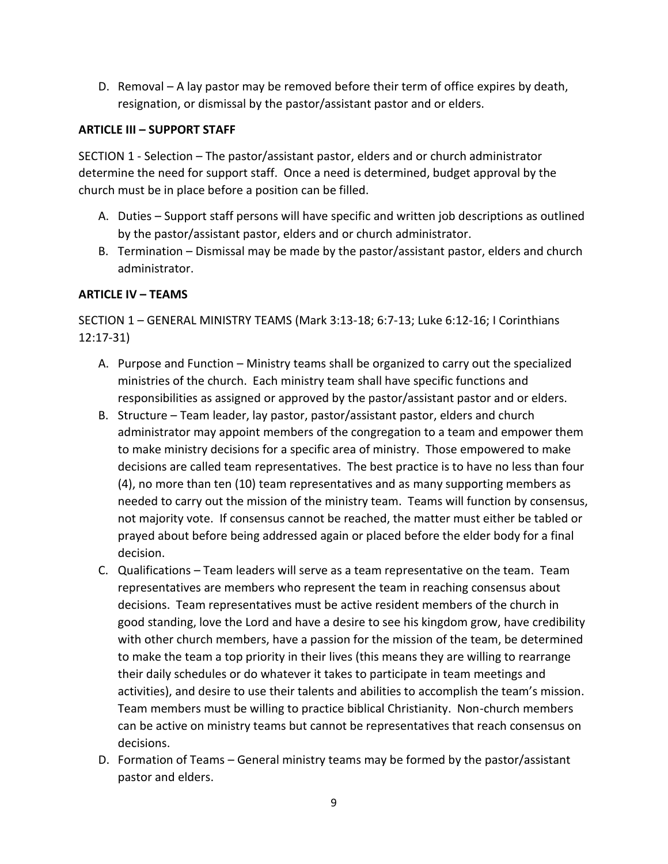D. Removal – A lay pastor may be removed before their term of office expires by death, resignation, or dismissal by the pastor/assistant pastor and or elders.

## **ARTICLE III – SUPPORT STAFF**

SECTION 1 - Selection – The pastor/assistant pastor, elders and or church administrator determine the need for support staff. Once a need is determined, budget approval by the church must be in place before a position can be filled.

- A. Duties Support staff persons will have specific and written job descriptions as outlined by the pastor/assistant pastor, elders and or church administrator.
- B. Termination Dismissal may be made by the pastor/assistant pastor, elders and church administrator.

# **ARTICLE IV – TEAMS**

SECTION 1 – GENERAL MINISTRY TEAMS (Mark 3:13-18; 6:7-13; Luke 6:12-16; I Corinthians 12:17-31)

- A. Purpose and Function Ministry teams shall be organized to carry out the specialized ministries of the church. Each ministry team shall have specific functions and responsibilities as assigned or approved by the pastor/assistant pastor and or elders.
- B. Structure Team leader, lay pastor, pastor/assistant pastor, elders and church administrator may appoint members of the congregation to a team and empower them to make ministry decisions for a specific area of ministry. Those empowered to make decisions are called team representatives. The best practice is to have no less than four (4), no more than ten (10) team representatives and as many supporting members as needed to carry out the mission of the ministry team. Teams will function by consensus, not majority vote. If consensus cannot be reached, the matter must either be tabled or prayed about before being addressed again or placed before the elder body for a final decision.
- C. Qualifications Team leaders will serve as a team representative on the team. Team representatives are members who represent the team in reaching consensus about decisions. Team representatives must be active resident members of the church in good standing, love the Lord and have a desire to see his kingdom grow, have credibility with other church members, have a passion for the mission of the team, be determined to make the team a top priority in their lives (this means they are willing to rearrange their daily schedules or do whatever it takes to participate in team meetings and activities), and desire to use their talents and abilities to accomplish the team's mission. Team members must be willing to practice biblical Christianity. Non-church members can be active on ministry teams but cannot be representatives that reach consensus on decisions.
- D. Formation of Teams General ministry teams may be formed by the pastor/assistant pastor and elders.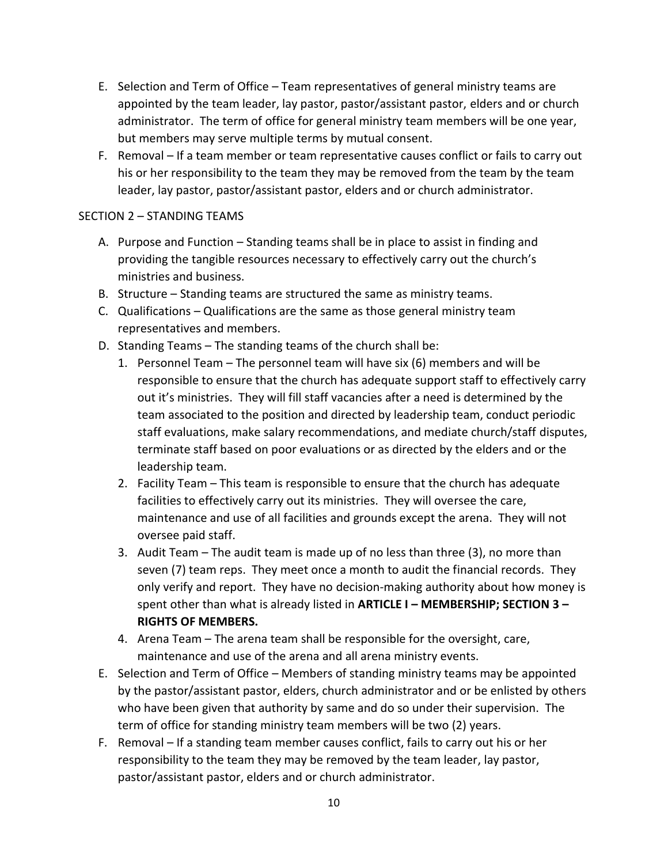- E. Selection and Term of Office Team representatives of general ministry teams are appointed by the team leader, lay pastor, pastor/assistant pastor, elders and or church administrator. The term of office for general ministry team members will be one year, but members may serve multiple terms by mutual consent.
- F. Removal If a team member or team representative causes conflict or fails to carry out his or her responsibility to the team they may be removed from the team by the team leader, lay pastor, pastor/assistant pastor, elders and or church administrator.

## SECTION 2 – STANDING TEAMS

- A. Purpose and Function Standing teams shall be in place to assist in finding and providing the tangible resources necessary to effectively carry out the church's ministries and business.
- B. Structure Standing teams are structured the same as ministry teams.
- C. Qualifications Qualifications are the same as those general ministry team representatives and members.
- D. Standing Teams The standing teams of the church shall be:
	- 1. Personnel Team The personnel team will have six (6) members and will be responsible to ensure that the church has adequate support staff to effectively carry out it's ministries. They will fill staff vacancies after a need is determined by the team associated to the position and directed by leadership team, conduct periodic staff evaluations, make salary recommendations, and mediate church/staff disputes, terminate staff based on poor evaluations or as directed by the elders and or the leadership team.
	- 2. Facility Team This team is responsible to ensure that the church has adequate facilities to effectively carry out its ministries. They will oversee the care, maintenance and use of all facilities and grounds except the arena. They will not oversee paid staff.
	- 3. Audit Team The audit team is made up of no less than three (3), no more than seven (7) team reps. They meet once a month to audit the financial records. They only verify and report. They have no decision-making authority about how money is spent other than what is already listed in **ARTICLE I – MEMBERSHIP; SECTION 3 – RIGHTS OF MEMBERS.**
	- 4. Arena Team The arena team shall be responsible for the oversight, care, maintenance and use of the arena and all arena ministry events.
- E. Selection and Term of Office Members of standing ministry teams may be appointed by the pastor/assistant pastor, elders, church administrator and or be enlisted by others who have been given that authority by same and do so under their supervision. The term of office for standing ministry team members will be two (2) years.
- F. Removal If a standing team member causes conflict, fails to carry out his or her responsibility to the team they may be removed by the team leader, lay pastor, pastor/assistant pastor, elders and or church administrator.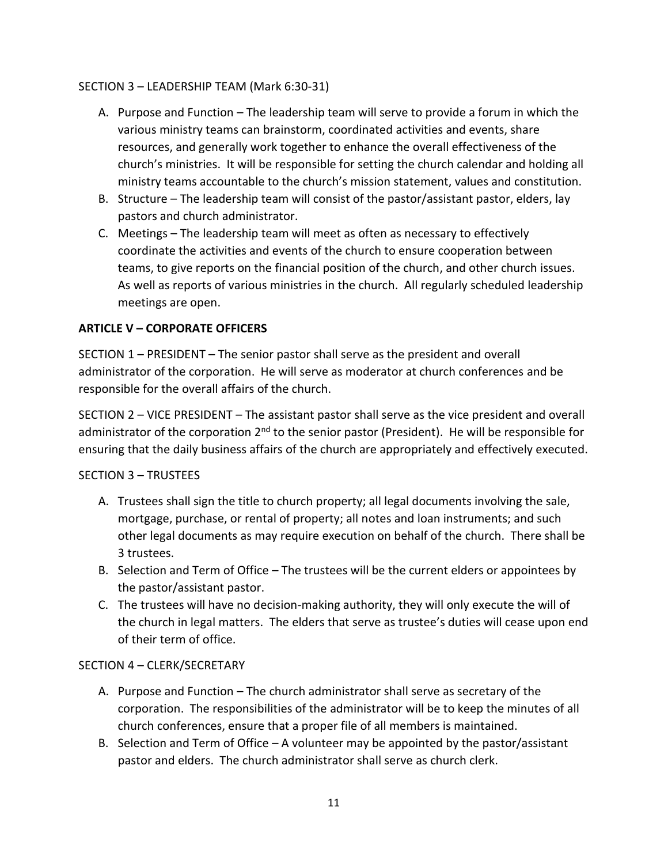## SECTION 3 – LEADERSHIP TEAM (Mark 6:30-31)

- A. Purpose and Function The leadership team will serve to provide a forum in which the various ministry teams can brainstorm, coordinated activities and events, share resources, and generally work together to enhance the overall effectiveness of the church's ministries. It will be responsible for setting the church calendar and holding all ministry teams accountable to the church's mission statement, values and constitution.
- B. Structure The leadership team will consist of the pastor/assistant pastor, elders, lay pastors and church administrator.
- C. Meetings The leadership team will meet as often as necessary to effectively coordinate the activities and events of the church to ensure cooperation between teams, to give reports on the financial position of the church, and other church issues. As well as reports of various ministries in the church. All regularly scheduled leadership meetings are open.

## **ARTICLE V – CORPORATE OFFICERS**

SECTION 1 – PRESIDENT – The senior pastor shall serve as the president and overall administrator of the corporation. He will serve as moderator at church conferences and be responsible for the overall affairs of the church.

SECTION 2 – VICE PRESIDENT – The assistant pastor shall serve as the vice president and overall administrator of the corporation  $2^{nd}$  to the senior pastor (President). He will be responsible for ensuring that the daily business affairs of the church are appropriately and effectively executed.

## SECTION 3 – TRUSTEES

- A. Trustees shall sign the title to church property; all legal documents involving the sale, mortgage, purchase, or rental of property; all notes and loan instruments; and such other legal documents as may require execution on behalf of the church. There shall be 3 trustees.
- B. Selection and Term of Office The trustees will be the current elders or appointees by the pastor/assistant pastor.
- C. The trustees will have no decision-making authority, they will only execute the will of the church in legal matters. The elders that serve as trustee's duties will cease upon end of their term of office.

## SECTION 4 – CLERK/SECRETARY

- A. Purpose and Function The church administrator shall serve as secretary of the corporation. The responsibilities of the administrator will be to keep the minutes of all church conferences, ensure that a proper file of all members is maintained.
- B. Selection and Term of Office A volunteer may be appointed by the pastor/assistant pastor and elders. The church administrator shall serve as church clerk.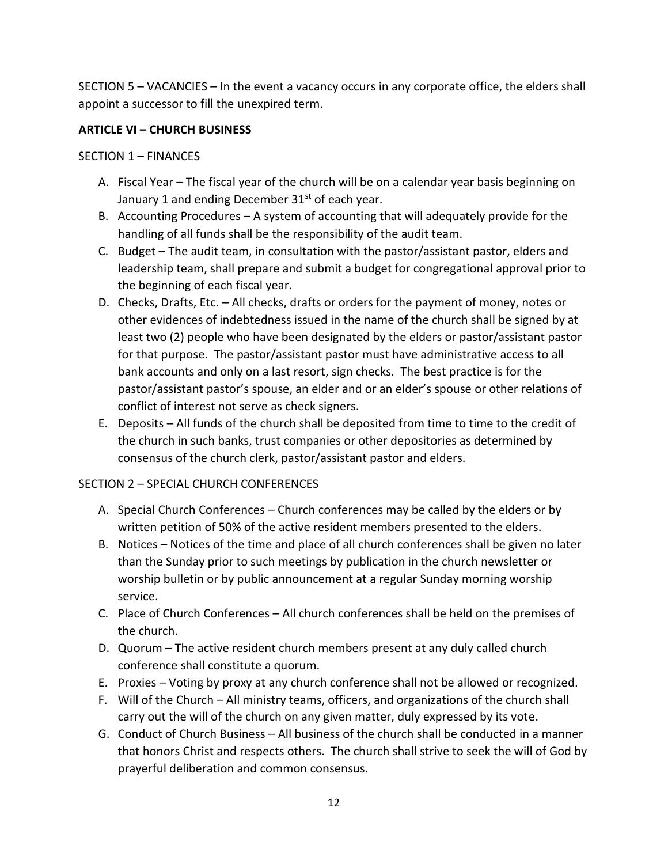SECTION 5 – VACANCIES – In the event a vacancy occurs in any corporate office, the elders shall appoint a successor to fill the unexpired term.

# **ARTICLE VI – CHURCH BUSINESS**

## SECTION 1 – FINANCES

- A. Fiscal Year The fiscal year of the church will be on a calendar year basis beginning on January 1 and ending December  $31<sup>st</sup>$  of each year.
- B. Accounting Procedures A system of accounting that will adequately provide for the handling of all funds shall be the responsibility of the audit team.
- C. Budget The audit team, in consultation with the pastor/assistant pastor, elders and leadership team, shall prepare and submit a budget for congregational approval prior to the beginning of each fiscal year.
- D. Checks, Drafts, Etc. All checks, drafts or orders for the payment of money, notes or other evidences of indebtedness issued in the name of the church shall be signed by at least two (2) people who have been designated by the elders or pastor/assistant pastor for that purpose. The pastor/assistant pastor must have administrative access to all bank accounts and only on a last resort, sign checks. The best practice is for the pastor/assistant pastor's spouse, an elder and or an elder's spouse or other relations of conflict of interest not serve as check signers.
- E. Deposits All funds of the church shall be deposited from time to time to the credit of the church in such banks, trust companies or other depositories as determined by consensus of the church clerk, pastor/assistant pastor and elders.

# SECTION 2 – SPECIAL CHURCH CONFERENCES

- A. Special Church Conferences Church conferences may be called by the elders or by written petition of 50% of the active resident members presented to the elders.
- B. Notices Notices of the time and place of all church conferences shall be given no later than the Sunday prior to such meetings by publication in the church newsletter or worship bulletin or by public announcement at a regular Sunday morning worship service.
- C. Place of Church Conferences All church conferences shall be held on the premises of the church.
- D. Quorum The active resident church members present at any duly called church conference shall constitute a quorum.
- E. Proxies Voting by proxy at any church conference shall not be allowed or recognized.
- F. Will of the Church All ministry teams, officers, and organizations of the church shall carry out the will of the church on any given matter, duly expressed by its vote.
- G. Conduct of Church Business All business of the church shall be conducted in a manner that honors Christ and respects others. The church shall strive to seek the will of God by prayerful deliberation and common consensus.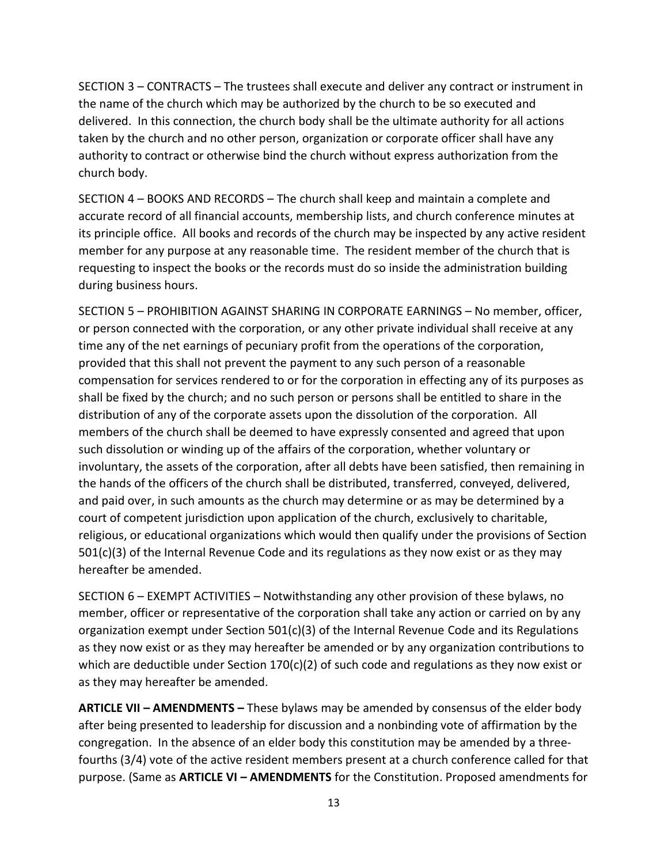SECTION 3 – CONTRACTS – The trustees shall execute and deliver any contract or instrument in the name of the church which may be authorized by the church to be so executed and delivered. In this connection, the church body shall be the ultimate authority for all actions taken by the church and no other person, organization or corporate officer shall have any authority to contract or otherwise bind the church without express authorization from the church body.

SECTION 4 – BOOKS AND RECORDS – The church shall keep and maintain a complete and accurate record of all financial accounts, membership lists, and church conference minutes at its principle office. All books and records of the church may be inspected by any active resident member for any purpose at any reasonable time. The resident member of the church that is requesting to inspect the books or the records must do so inside the administration building during business hours.

SECTION 5 – PROHIBITION AGAINST SHARING IN CORPORATE EARNINGS – No member, officer, or person connected with the corporation, or any other private individual shall receive at any time any of the net earnings of pecuniary profit from the operations of the corporation, provided that this shall not prevent the payment to any such person of a reasonable compensation for services rendered to or for the corporation in effecting any of its purposes as shall be fixed by the church; and no such person or persons shall be entitled to share in the distribution of any of the corporate assets upon the dissolution of the corporation. All members of the church shall be deemed to have expressly consented and agreed that upon such dissolution or winding up of the affairs of the corporation, whether voluntary or involuntary, the assets of the corporation, after all debts have been satisfied, then remaining in the hands of the officers of the church shall be distributed, transferred, conveyed, delivered, and paid over, in such amounts as the church may determine or as may be determined by a court of competent jurisdiction upon application of the church, exclusively to charitable, religious, or educational organizations which would then qualify under the provisions of Section  $501(c)(3)$  of the Internal Revenue Code and its regulations as they now exist or as they may hereafter be amended.

SECTION 6 – EXEMPT ACTIVITIES – Notwithstanding any other provision of these bylaws, no member, officer or representative of the corporation shall take any action or carried on by any organization exempt under Section 501(c)(3) of the Internal Revenue Code and its Regulations as they now exist or as they may hereafter be amended or by any organization contributions to which are deductible under Section 170(c)(2) of such code and regulations as they now exist or as they may hereafter be amended.

**ARTICLE VII – AMENDMENTS –** These bylaws may be amended by consensus of the elder body after being presented to leadership for discussion and a nonbinding vote of affirmation by the congregation. In the absence of an elder body this constitution may be amended by a threefourths (3/4) vote of the active resident members present at a church conference called for that purpose. (Same as **ARTICLE VI – AMENDMENTS** for the Constitution. Proposed amendments for